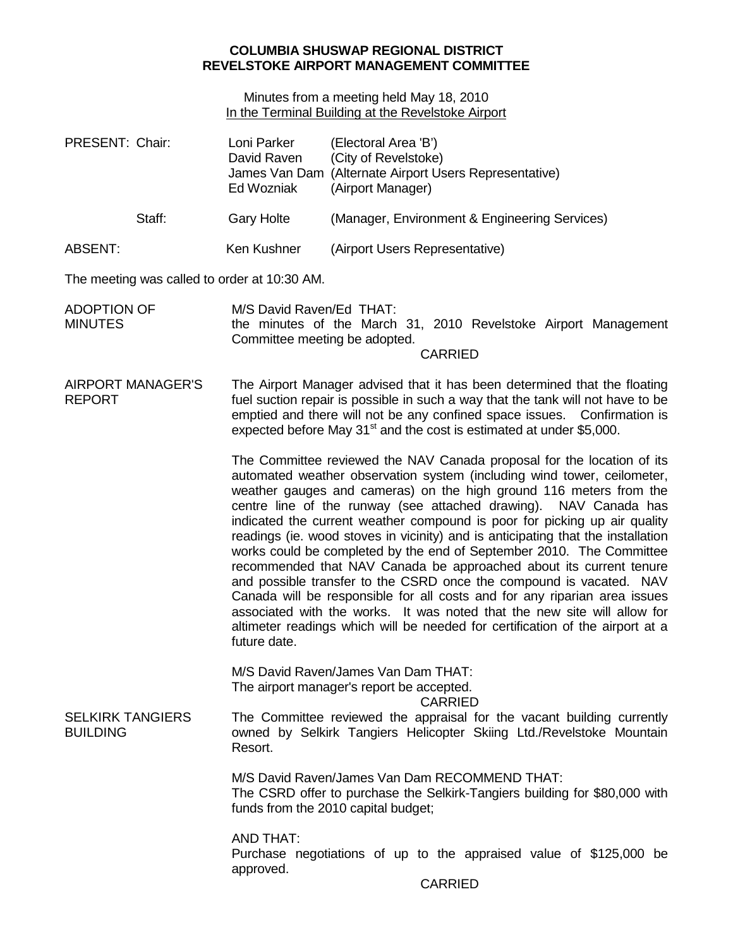## **COLUMBIA SHUSWAP REGIONAL DISTRICT REVELSTOKE AIRPORT MANAGEMENT COMMITTEE**

Minutes from a meeting held May 18, 2010 In the Terminal Building at the Revelstoke Airport

| PRESENT: Chair:                              | Loni Parker<br>David Raven<br>Ed Wozniak | (Electoral Area 'B')<br>(City of Revelstoke)<br>James Van Dam (Alternate Airport Users Representative)<br>(Airport Manager)                                                                                                                                                                                                                                                                                                                                                                                                                                                                                                                                                                                                                                                                                                                                                                                                 |  |  |
|----------------------------------------------|------------------------------------------|-----------------------------------------------------------------------------------------------------------------------------------------------------------------------------------------------------------------------------------------------------------------------------------------------------------------------------------------------------------------------------------------------------------------------------------------------------------------------------------------------------------------------------------------------------------------------------------------------------------------------------------------------------------------------------------------------------------------------------------------------------------------------------------------------------------------------------------------------------------------------------------------------------------------------------|--|--|
| Staff:                                       | <b>Gary Holte</b>                        | (Manager, Environment & Engineering Services)                                                                                                                                                                                                                                                                                                                                                                                                                                                                                                                                                                                                                                                                                                                                                                                                                                                                               |  |  |
| <b>ABSENT:</b>                               | Ken Kushner                              | (Airport Users Representative)                                                                                                                                                                                                                                                                                                                                                                                                                                                                                                                                                                                                                                                                                                                                                                                                                                                                                              |  |  |
| The meeting was called to order at 10:30 AM. |                                          |                                                                                                                                                                                                                                                                                                                                                                                                                                                                                                                                                                                                                                                                                                                                                                                                                                                                                                                             |  |  |
| <b>ADOPTION OF</b><br><b>MINUTES</b>         |                                          | M/S David Raven/Ed THAT:<br>the minutes of the March 31, 2010 Revelstoke Airport Management<br>Committee meeting be adopted.<br><b>CARRIED</b>                                                                                                                                                                                                                                                                                                                                                                                                                                                                                                                                                                                                                                                                                                                                                                              |  |  |
| <b>AIRPORT MANAGER'S</b><br><b>REPORT</b>    |                                          | The Airport Manager advised that it has been determined that the floating<br>fuel suction repair is possible in such a way that the tank will not have to be<br>emptied and there will not be any confined space issues.  Confirmation is<br>expected before May 31 <sup>st</sup> and the cost is estimated at under \$5,000.                                                                                                                                                                                                                                                                                                                                                                                                                                                                                                                                                                                               |  |  |
|                                              | future date.                             | The Committee reviewed the NAV Canada proposal for the location of its<br>automated weather observation system (including wind tower, ceilometer,<br>weather gauges and cameras) on the high ground 116 meters from the<br>centre line of the runway (see attached drawing). NAV Canada has<br>indicated the current weather compound is poor for picking up air quality<br>readings (ie. wood stoves in vicinity) and is anticipating that the installation<br>works could be completed by the end of September 2010. The Committee<br>recommended that NAV Canada be approached about its current tenure<br>and possible transfer to the CSRD once the compound is vacated. NAV<br>Canada will be responsible for all costs and for any riparian area issues<br>associated with the works. It was noted that the new site will allow for<br>altimeter readings which will be needed for certification of the airport at a |  |  |
|                                              |                                          | M/S David Raven/James Van Dam THAT:<br>The airport manager's report be accepted.<br><b>CARRIED</b>                                                                                                                                                                                                                                                                                                                                                                                                                                                                                                                                                                                                                                                                                                                                                                                                                          |  |  |
| <b>SELKIRK TANGIERS</b><br><b>BUILDING</b>   | Resort.                                  | The Committee reviewed the appraisal for the vacant building currently<br>owned by Selkirk Tangiers Helicopter Skiing Ltd./Revelstoke Mountain                                                                                                                                                                                                                                                                                                                                                                                                                                                                                                                                                                                                                                                                                                                                                                              |  |  |
|                                              |                                          | M/S David Raven/James Van Dam RECOMMEND THAT:<br>The CSRD offer to purchase the Selkirk-Tangiers building for \$80,000 with<br>funds from the 2010 capital budget;                                                                                                                                                                                                                                                                                                                                                                                                                                                                                                                                                                                                                                                                                                                                                          |  |  |
|                                              | <b>AND THAT:</b><br>approved.            | Purchase negotiations of up to the appraised value of \$125,000 be<br><b>CARRIED</b>                                                                                                                                                                                                                                                                                                                                                                                                                                                                                                                                                                                                                                                                                                                                                                                                                                        |  |  |